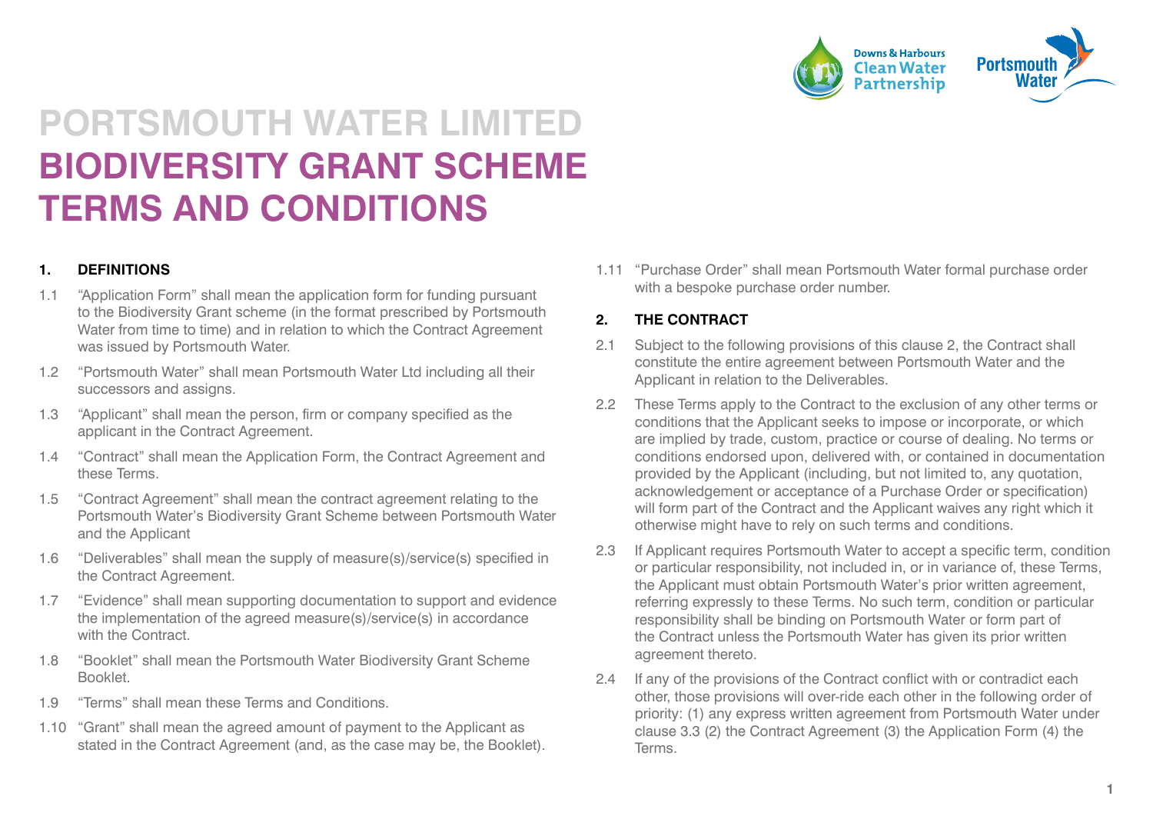

# **PORTSMOUTH WATER LIMITED BIODIVERSITY GRANT SCHEME TERMS AND CONDITIONS**

#### **1. DEFINITIONS**

- 1.1 "Application Form" shall mean the application form for funding pursuant to the Biodiversity Grant scheme (in the format prescribed by Portsmouth Water from time to time) and in relation to which the Contract Agreement was issued by Portsmouth Water.
- 1.2 "Portsmouth Water" shall mean Portsmouth Water Ltd including all their successors and assigns.
- 1.3 "Applicant" shall mean the person, firm or company specified as the applicant in the Contract Agreement.
- 1.4 "Contract" shall mean the Application Form, the Contract Agreement and these Terms.
- 1.5 "Contract Agreement" shall mean the contract agreement relating to the Portsmouth Water's Biodiversity Grant Scheme between Portsmouth Water and the Applicant
- 1.6 "Deliverables" shall mean the supply of measure(s)/service(s) specified in the Contract Agreement.
- 1.7 "Evidence" shall mean supporting documentation to support and evidence the implementation of the agreed measure(s)/service(s) in accordance with the Contract.
- 1.8 "Booklet" shall mean the Portsmouth Water Biodiversity Grant Scheme Booklet.
- 1.9 "Terms" shall mean these Terms and Conditions.
- 1.10 "Grant" shall mean the agreed amount of payment to the Applicant as stated in the Contract Agreement (and, as the case may be, the Booklet).

1.11 "Purchase Order" shall mean Portsmouth Water formal purchase order with a bespoke purchase order number.

#### **2. THE CONTRACT**

- 2.1 Subject to the following provisions of this clause 2, the Contract shall constitute the entire agreement between Portsmouth Water and the Applicant in relation to the Deliverables.
- 2.2 These Terms apply to the Contract to the exclusion of any other terms or conditions that the Applicant seeks to impose or incorporate, or which are implied by trade, custom, practice or course of dealing. No terms or conditions endorsed upon, delivered with, or contained in documentation provided by the Applicant (including, but not limited to, any quotation, acknowledgement or acceptance of a Purchase Order or specification) will form part of the Contract and the Applicant waives any right which it otherwise might have to rely on such terms and conditions.
- 2.3 If Applicant requires Portsmouth Water to accept a specific term, condition or particular responsibility, not included in, or in variance of, these Terms, the Applicant must obtain Portsmouth Water's prior written agreement, referring expressly to these Terms. No such term, condition or particular responsibility shall be binding on Portsmouth Water or form part of the Contract unless the Portsmouth Water has given its prior written agreement thereto.
- 2.4 If any of the provisions of the Contract conflict with or contradict each other, those provisions will over-ride each other in the following order of priority: (1) any express written agreement from Portsmouth Water under clause 3.3 (2) the Contract Agreement (3) the Application Form (4) the Terms.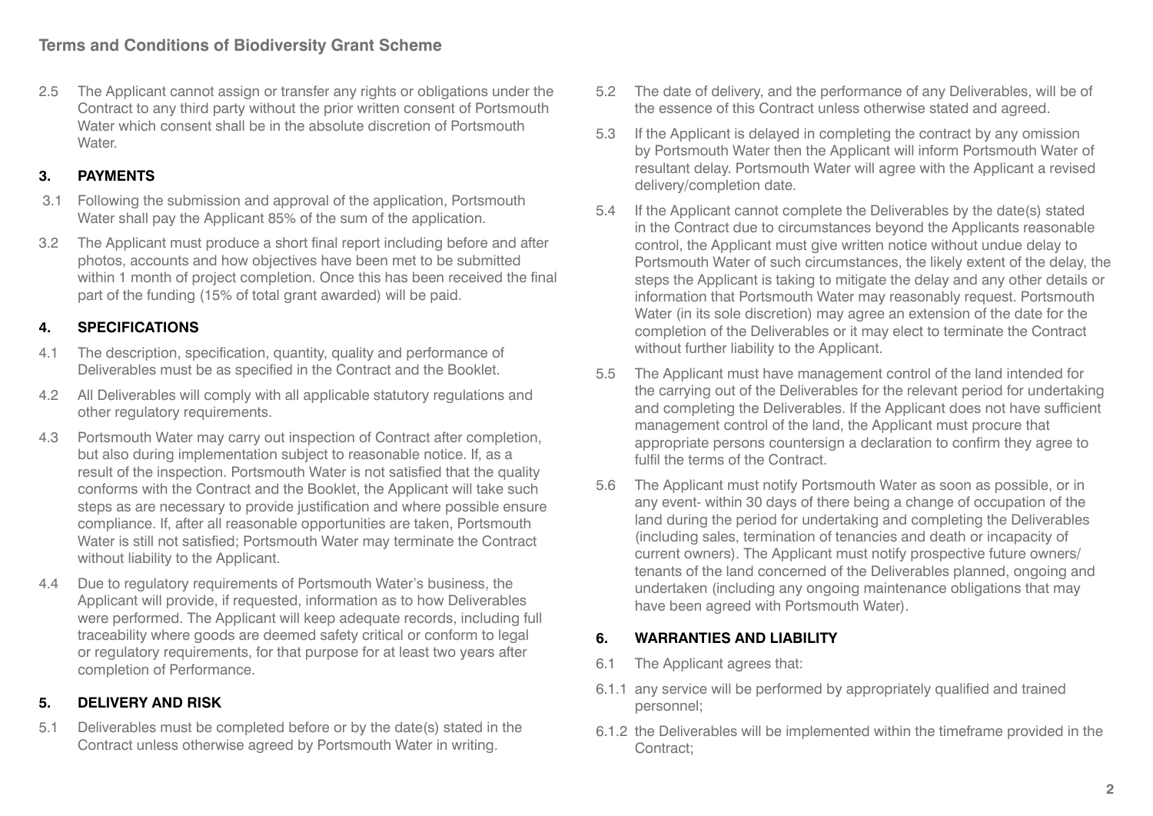2.5 The Applicant cannot assign or transfer any rights or obligations under the Contract to any third party without the prior written consent of Portsmouth Water which consent shall be in the absolute discretion of Portsmouth **Water** 

# **3. PAYMENTS**

- 3.1 Following the submission and approval of the application, Portsmouth Water shall pay the Applicant 85% of the sum of the application.
- 3.2 The Applicant must produce a short final report including before and after photos, accounts and how objectives have been met to be submitted within 1 month of project completion. Once this has been received the final part of the funding (15% of total grant awarded) will be paid.

# **4. SPECIFICATIONS**

- 4.1 The description, specification, quantity, quality and performance of Deliverables must be as specified in the Contract and the Booklet.
- 4.2 All Deliverables will comply with all applicable statutory regulations and other regulatory requirements.
- 4.3 Portsmouth Water may carry out inspection of Contract after completion, but also during implementation subject to reasonable notice. If, as a result of the inspection. Portsmouth Water is not satisfied that the quality conforms with the Contract and the Booklet, the Applicant will take such steps as are necessary to provide justification and where possible ensure compliance. If, after all reasonable opportunities are taken, Portsmouth Water is still not satisfied; Portsmouth Water may terminate the Contract without liability to the Applicant.
- 4.4 Due to regulatory requirements of Portsmouth Water's business, the Applicant will provide, if requested, information as to how Deliverables were performed. The Applicant will keep adequate records, including full traceability where goods are deemed safety critical or conform to legal or regulatory requirements, for that purpose for at least two years after completion of Performance.

# **5. DELIVERY AND RISK**

5.1 Deliverables must be completed before or by the date(s) stated in the Contract unless otherwise agreed by Portsmouth Water in writing.

- 5.2 The date of delivery, and the performance of any Deliverables, will be of the essence of this Contract unless otherwise stated and agreed.
- 5.3 If the Applicant is delayed in completing the contract by any omission by Portsmouth Water then the Applicant will inform Portsmouth Water of resultant delay. Portsmouth Water will agree with the Applicant a revised delivery/completion date.
- 5.4 If the Applicant cannot complete the Deliverables by the date(s) stated in the Contract due to circumstances beyond the Applicants reasonable control, the Applicant must give written notice without undue delay to Portsmouth Water of such circumstances, the likely extent of the delay, the steps the Applicant is taking to mitigate the delay and any other details or information that Portsmouth Water may reasonably request. Portsmouth Water (in its sole discretion) may agree an extension of the date for the completion of the Deliverables or it may elect to terminate the Contract without further liability to the Applicant.
- 5.5 The Applicant must have management control of the land intended for the carrying out of the Deliverables for the relevant period for undertaking and completing the Deliverables. If the Applicant does not have sufficient management control of the land, the Applicant must procure that appropriate persons countersign a declaration to confirm they agree to fulfil the terms of the Contract.
- 5.6 The Applicant must notify Portsmouth Water as soon as possible, or in any event- within 30 days of there being a change of occupation of the land during the period for undertaking and completing the Deliverables (including sales, termination of tenancies and death or incapacity of current owners). The Applicant must notify prospective future owners/ tenants of the land concerned of the Deliverables planned, ongoing and undertaken (including any ongoing maintenance obligations that may have been agreed with Portsmouth Water).

### **6. WARRANTIES AND LIABILITY**

- 6.1 The Applicant agrees that:
- 6.1.1 any service will be performed by appropriately qualified and trained personnel;
- 6.1.2 the Deliverables will be implemented within the timeframe provided in the Contract;